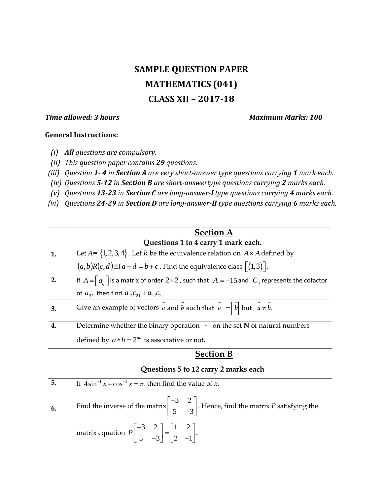## **SAMPLE QUESTION PAPER MATHEMATICS (041) CLASS XII – 2017-18**

*Time allowed: 3 hours* Maximum Marks: 100

## **General Instructions:**

- *(i) All questions are compulsory.*
- *(ii) This question paper contains 29 questions.*
- *(iii) Question 1- 4 in Section A are very short-answer type questions carrying 1 mark each.*
- *(iv) Questions 5-12 in Section B are short-answertype questions carrying 2 marks each.*
- *(v) Questions 13-23 in Section C are long-answer-I type questions carrying 4 marks each.*
- *(vi) Questions 24-29 in Section D are long-answer-II type questions carrying 6 marks each.*

|    | <b>Section A</b><br>Questions 1 to 4 carry 1 mark each.                                                                                      |
|----|----------------------------------------------------------------------------------------------------------------------------------------------|
| 1. | Let $A = \{1, 2, 3, 4\}$ . Let R be the equivalence relation on $A \times A$ defined by                                                      |
|    | $(a,b)R(c,d)$ iff $a+d=b+c$ . Find the equivalence class $\lceil (1,3) \rceil$ .                                                             |
| 2. | If $A = \begin{bmatrix} a_{ii} \end{bmatrix}$ is a matrix of order $2 \times 2$ , such that $ A  = -15$ and $C_{ii}$ represents the cofactor |
|    | of $a_{ij}$ , then find $a_{21}c_{21} + a_{22}c_{22}$                                                                                        |
| 3. | Give an example of vectors $\vec{a}$ and $\vec{b}$ such that $ \vec{a}  =  \vec{b} $ but $\vec{a} \neq \vec{b}$ .                            |
| 4. | Determine whether the binary operation $*$ on the set N of natural numbers                                                                   |
|    | defined by $a * b = 2^{ab}$ is associative or not.                                                                                           |
|    | <b>Section B</b>                                                                                                                             |
|    | Questions 5 to 12 carry 2 marks each                                                                                                         |
| 5. | If $4\sin^{-1} x + \cos^{-1} x = \pi$ , then find the value of x.                                                                            |
| 6. | Find the inverse of the matrix $\begin{vmatrix} -3 & 2 \\ 5 & -3 \end{vmatrix}$ . Hence, find the matrix P satisfying the                    |
|    | matrix equation $P\begin{vmatrix} -3 & 2 \\ 5 & -3 \end{vmatrix} = \begin{vmatrix} 1 & 2 \\ 2 & -1 \end{vmatrix}$ .                          |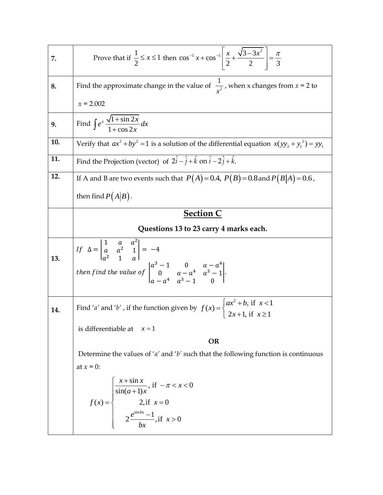| 7.  | Prove that if $\frac{1}{2} \le x \le 1$ then $\cos^{-1} x + \cos^{-1} \left  \frac{x}{2} + \frac{\sqrt{3 - 3x^2}}{2} \right  = \frac{\pi}{3}$                                                                                  |
|-----|--------------------------------------------------------------------------------------------------------------------------------------------------------------------------------------------------------------------------------|
| 8.  | Find the approximate change in the value of $\frac{1}{r^2}$ , when x changes from $x = 2$ to                                                                                                                                   |
|     | $x = 2.002$                                                                                                                                                                                                                    |
| 9.  | Find $\int e^x \frac{\sqrt{1 + \sin 2x}}{1 + \cos 2x} dx$                                                                                                                                                                      |
| 10. | Verify that $ax^2 + by^2 = 1$ is a solution of the differential equation $x(yy_2 + y_1^2) = yy_1$                                                                                                                              |
| 11. | Find the Projection (vector) of $2\hat{i} - \hat{j} + \hat{k}$ on $\hat{i} - 2\hat{j} + \hat{k}$ .                                                                                                                             |
| 12. | If A and B are two events such that $P(A) = 0.4$ , $P(B) = 0.8$ and $P(B A) = 0.6$ ,                                                                                                                                           |
|     | then find $P(A B)$ .                                                                                                                                                                                                           |
|     | <b>Section C</b>                                                                                                                                                                                                               |
|     | Questions 13 to 23 carry 4 marks each.                                                                                                                                                                                         |
|     |                                                                                                                                                                                                                                |
|     |                                                                                                                                                                                                                                |
| 13. | If $\Delta = \begin{vmatrix} 1 & a & a^2 \\ a & a^2 & 1 \\ a^2 & 1 & a \end{vmatrix} = -4$<br>then find the value of $\begin{vmatrix} a^3 - 1 & 0 & a - a^4 \\ 0 & a - a^4 & a^3 - 1 \\ a - a^4 & a^3 - 1 & 0 \end{vmatrix}$ . |
|     |                                                                                                                                                                                                                                |
| 14. | Find 'a' and 'b', if the function given by $f(x) = \begin{cases} ax^2 + b, & \text{if } x < 1 \\ 2x + 1, & \text{if } x \ge 1 \end{cases}$                                                                                     |
|     | is differentiable at $x = 1$                                                                                                                                                                                                   |
|     |                                                                                                                                                                                                                                |
|     | <b>OR</b>                                                                                                                                                                                                                      |
|     | Determine the values of ' $a'$ and ' $b'$ such that the following function is continuous                                                                                                                                       |
|     | at $x = 0$ :                                                                                                                                                                                                                   |
|     |                                                                                                                                                                                                                                |
|     | $f(x) = \begin{cases} \frac{x + \sin x}{\sin(a+1)x}, & \text{if } -\pi < x < 0 \\ 2, & \text{if } x = 0 \\ 2 \frac{e^{\sin bx} - 1}{bx}, & \text{if } x > 0 \end{cases}$                                                       |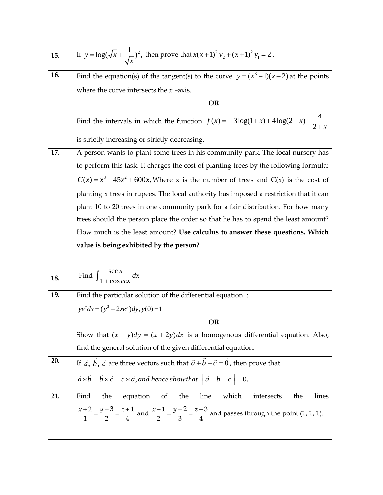| 15. | If $y = \log(\sqrt{x} + \frac{1}{\sqrt{x}})^2$ , then prove that $x(x+1)^2 y_2 + (x+1)^2 y_1 = 2$ .                                                                |
|-----|--------------------------------------------------------------------------------------------------------------------------------------------------------------------|
| 16. | Find the equation(s) of the tangent(s) to the curve $y = (x^3 - 1)(x - 2)$ at the points                                                                           |
|     | where the curve intersects the $x$ -axis.                                                                                                                          |
|     | <b>OR</b>                                                                                                                                                          |
|     | Find the intervals in which the function $f(x) = -3\log(1+x) + 4\log(2+x) - \frac{4}{2+x}$                                                                         |
|     | is strictly increasing or strictly decreasing.                                                                                                                     |
| 17. | A person wants to plant some trees in his community park. The local nursery has                                                                                    |
|     | to perform this task. It charges the cost of planting trees by the following formula:                                                                              |
|     | $C(x) = x^3 - 45x^2 + 600x$ , Where x is the number of trees and C(x) is the cost of                                                                               |
|     | planting x trees in rupees. The local authority has imposed a restriction that it can                                                                              |
|     | plant 10 to 20 trees in one community park for a fair distribution. For how many                                                                                   |
|     | trees should the person place the order so that he has to spend the least amount?                                                                                  |
|     | How much is the least amount? Use calculus to answer these questions. Which                                                                                        |
|     | value is being exhibited by the person?                                                                                                                            |
|     |                                                                                                                                                                    |
| 18. | Find $\int \frac{\sec x}{1 + \cos ax} dx$                                                                                                                          |
| 19. | Find the particular solution of the differential equation:                                                                                                         |
|     | $ye^{y} dx = (y^{3} + 2xe^{y})dy$ , $y(0) = 1$                                                                                                                     |
|     | <b>OR</b>                                                                                                                                                          |
|     | Show that $(x - y)dy = (x + 2y)dx$ is a homogenous differential equation. Also,                                                                                    |
|     | find the general solution of the given differential equation.                                                                                                      |
| 20. | If $\vec{a}$ , $\vec{b}$ , $\vec{c}$ are three vectors such that $\vec{a} + \vec{b} + \vec{c} = \vec{0}$ , then prove that                                         |
|     | $\vec{a} \times \vec{b} = \vec{b} \times \vec{c} = \vec{c} \times \vec{a}$ , and hence show that $\begin{bmatrix} \vec{a} & \vec{b} & \vec{c} \end{bmatrix} = 0$ . |
|     |                                                                                                                                                                    |
| 21. | the<br>of<br>which<br>intersects<br>Find<br>equation<br>the<br>line<br>the<br>lines                                                                                |
|     | $\frac{x+2}{1} = \frac{y-3}{2} = \frac{z+1}{4}$ and $\frac{x-1}{2} = \frac{y-2}{3} = \frac{z-3}{4}$ and passes through the point (1, 1, 1).                        |
|     |                                                                                                                                                                    |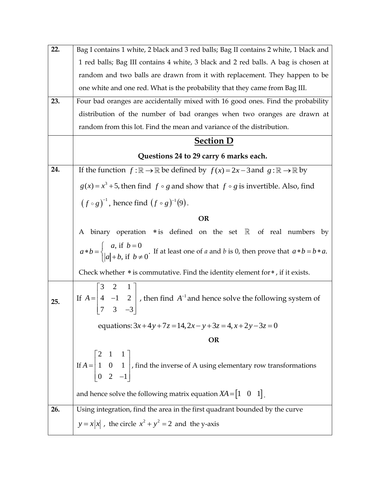| 22. | Bag I contains 1 white, 2 black and 3 red balls; Bag II contains 2 white, 1 black and                                                                          |
|-----|----------------------------------------------------------------------------------------------------------------------------------------------------------------|
|     | 1 red balls; Bag III contains 4 white, 3 black and 2 red balls. A bag is chosen at                                                                             |
|     | random and two balls are drawn from it with replacement. They happen to be                                                                                     |
|     | one white and one red. What is the probability that they came from Bag III.                                                                                    |
| 23. | Four bad oranges are accidentally mixed with 16 good ones. Find the probability                                                                                |
|     | distribution of the number of bad oranges when two oranges are drawn at                                                                                        |
|     | random from this lot. Find the mean and variance of the distribution.                                                                                          |
|     | <b>Section D</b>                                                                                                                                               |
|     | Questions 24 to 29 carry 6 marks each.                                                                                                                         |
| 24. | If the function $f : \mathbb{R} \to \mathbb{R}$ be defined by $f(x) = 2x - 3$ and $g : \mathbb{R} \to \mathbb{R}$ by                                           |
|     | $g(x) = x^3 + 5$ , then find $f \circ g$ and show that $f \circ g$ is invertible. Also, find                                                                   |
|     | $(f \circ g)^{-1}$ , hence find $(f \circ g)^{-1}(9)$ .                                                                                                        |
|     | <b>OR</b>                                                                                                                                                      |
|     | A binary operation $*$ is defined on the set $\mathbb R$ of real numbers by                                                                                    |
|     | $a * b = \begin{cases} a, \text{ if } b = 0 \\  a  + b, \text{ if } b \neq 0 \end{cases}$ . If at least one of a and b is 0, then prove that $a * b = b * a$ . |
|     | Check whether $*$ is commutative. Find the identity element for $*$ , if it exists.                                                                            |
| 25. | If $A = \begin{bmatrix} 3 & 2 & 1 \\ 4 & -1 & 2 \\ 7 & 3 & -3 \end{bmatrix}$ , then find $A^{-1}$ and hence solve the following system of                      |
|     | equations: $3x+4y+7z = 14$ , $2x-y+3z = 4$ , $x+2y-3z = 0$                                                                                                     |
|     | <b>OR</b>                                                                                                                                                      |
|     | If $A = \begin{bmatrix} 2 & 1 & 1 \\ 1 & 0 & 1 \\ 0 & 2 & -1 \end{bmatrix}$ , find the inverse of A using elementary row transformations                       |
|     | and hence solve the following matrix equation $XA = \begin{bmatrix} 1 & 0 & 1 \end{bmatrix}$ .                                                                 |
| 26. | Using integration, find the area in the first quadrant bounded by the curve                                                                                    |
|     | $y = x x $ , the circle $x^2 + y^2 = 2$ and the y-axis                                                                                                         |